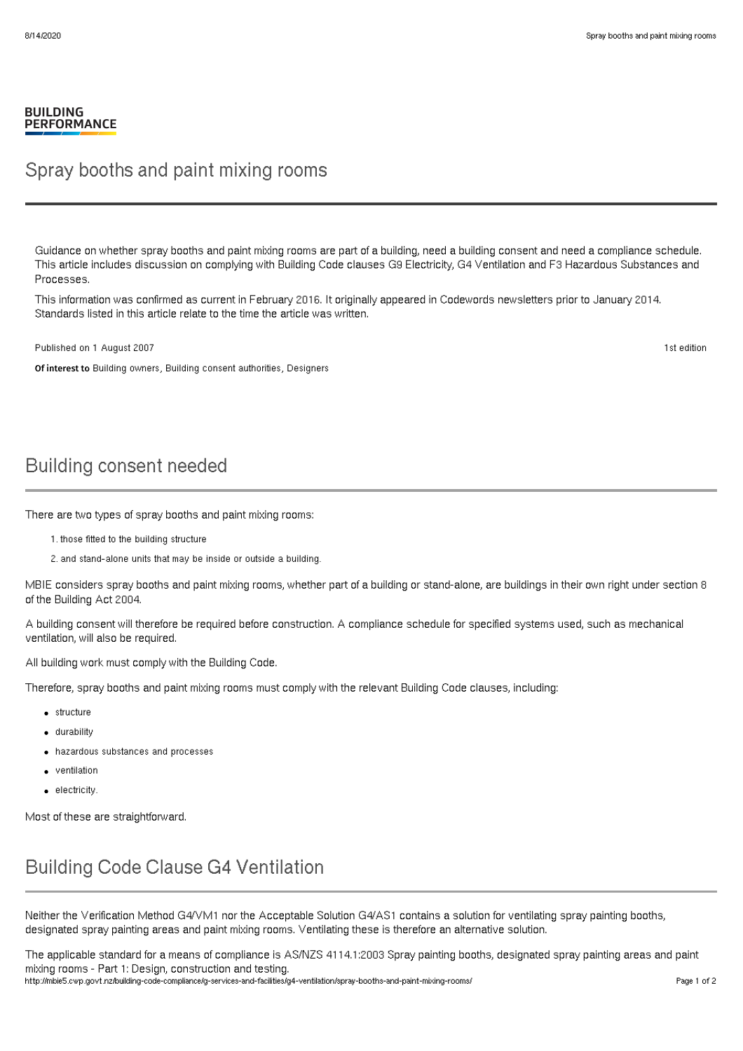#### **BUILDING PERFORMANCE**

#### Spray booths and paint mixing rooms

Guidance on whether spray booths and paint mixing rooms are part of a building, need a building consent and need a compliance schedule. This article includes discussion on complying with Building Code clauses G9 Electricity, G4 Ventilation and F3 Hazardous Substances and Processes.

This information was confirmed as current in February 2016. It originally appeared in Codewords newsletters prior to January 2014. Standards listed in this article relate to the time the article was written.

Published on 1 August 2007

Of interest to Building owners, Building consent authorities, Designers

Building consent needed

There are two types of spray booths and paint mixing rooms:

- 1. those fitted to the building structure
- 2. and stand-alone units that may be inside or outside a building.

MBIE considers spray booths and paint mixing rooms, whether part of a building or stand-alone, are buildings in their own right under section 8 of the Building Act 2004.

A building consent will therefore be required before construction. A compliance schedule for specified systems used, such as mechanical ventilation, will also be required.

All building work must comply with the Building Code.

Therefore, spray booths and paint mixing rooms must comply with the relevant Building Code clauses, including:

- structure
- durability
- hazardous substances and processes
- ventilation
- **e** electricity

Most of these are straightforward.

### Building Code Clause G4 Ventilation

Neither the Verification Method G4/VM1 nor the Acceptable Solution G4/AS1 contains a solution for ventilating spray painting booths, designated spray painting areas and paint mixing rooms. Ventilating these is therefore an alternative solution.

The applicable standard for a means of compliance is AS/NZS 4114.1:2003 Spray painting booths, designated spray painting areas and paint mixing rooms - Part 1: Design, construction and testing.

http://mbie5.cwp.govt.nz/building-code-compliance/g-services-and-facilities/g4-ventilation/spray-booths-and-paint-mixing-rooms/ Page 1 of 2

1st edition